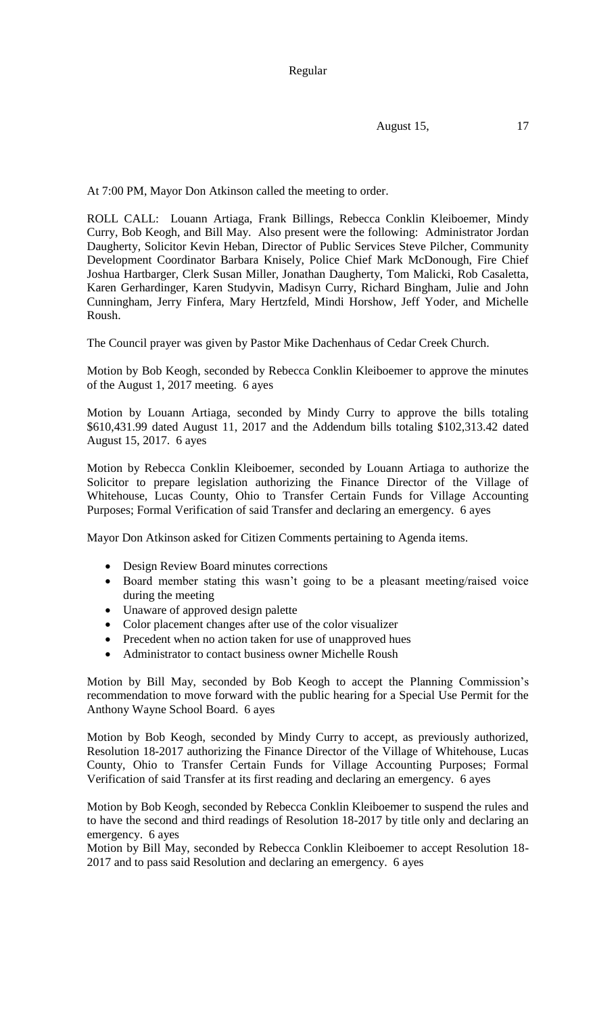Regular

August 15, 17

At 7:00 PM, Mayor Don Atkinson called the meeting to order.

ROLL CALL: Louann Artiaga, Frank Billings, Rebecca Conklin Kleiboemer, Mindy Curry, Bob Keogh, and Bill May. Also present were the following: Administrator Jordan Daugherty, Solicitor Kevin Heban, Director of Public Services Steve Pilcher, Community Development Coordinator Barbara Knisely, Police Chief Mark McDonough, Fire Chief Joshua Hartbarger, Clerk Susan Miller, Jonathan Daugherty, Tom Malicki, Rob Casaletta, Karen Gerhardinger, Karen Studyvin, Madisyn Curry, Richard Bingham, Julie and John Cunningham, Jerry Finfera, Mary Hertzfeld, Mindi Horshow, Jeff Yoder, and Michelle Roush.

The Council prayer was given by Pastor Mike Dachenhaus of Cedar Creek Church.

Motion by Bob Keogh, seconded by Rebecca Conklin Kleiboemer to approve the minutes of the August 1, 2017 meeting. 6 ayes

Motion by Louann Artiaga, seconded by Mindy Curry to approve the bills totaling \$610,431.99 dated August 11, 2017 and the Addendum bills totaling \$102,313.42 dated August 15, 2017. 6 ayes

Motion by Rebecca Conklin Kleiboemer, seconded by Louann Artiaga to authorize the Solicitor to prepare legislation authorizing the Finance Director of the Village of Whitehouse, Lucas County, Ohio to Transfer Certain Funds for Village Accounting Purposes; Formal Verification of said Transfer and declaring an emergency. 6 ayes

Mayor Don Atkinson asked for Citizen Comments pertaining to Agenda items.

- Design Review Board minutes corrections
- Board member stating this wasn't going to be a pleasant meeting/raised voice during the meeting
- Unaware of approved design palette
- Color placement changes after use of the color visualizer
- Precedent when no action taken for use of unapproved hues
- Administrator to contact business owner Michelle Roush

Motion by Bill May, seconded by Bob Keogh to accept the Planning Commission's recommendation to move forward with the public hearing for a Special Use Permit for the Anthony Wayne School Board. 6 ayes

Motion by Bob Keogh, seconded by Mindy Curry to accept, as previously authorized, Resolution 18-2017 authorizing the Finance Director of the Village of Whitehouse, Lucas County, Ohio to Transfer Certain Funds for Village Accounting Purposes; Formal Verification of said Transfer at its first reading and declaring an emergency. 6 ayes

Motion by Bob Keogh, seconded by Rebecca Conklin Kleiboemer to suspend the rules and to have the second and third readings of Resolution 18-2017 by title only and declaring an emergency. 6 ayes

Motion by Bill May, seconded by Rebecca Conklin Kleiboemer to accept Resolution 18- 2017 and to pass said Resolution and declaring an emergency. 6 ayes